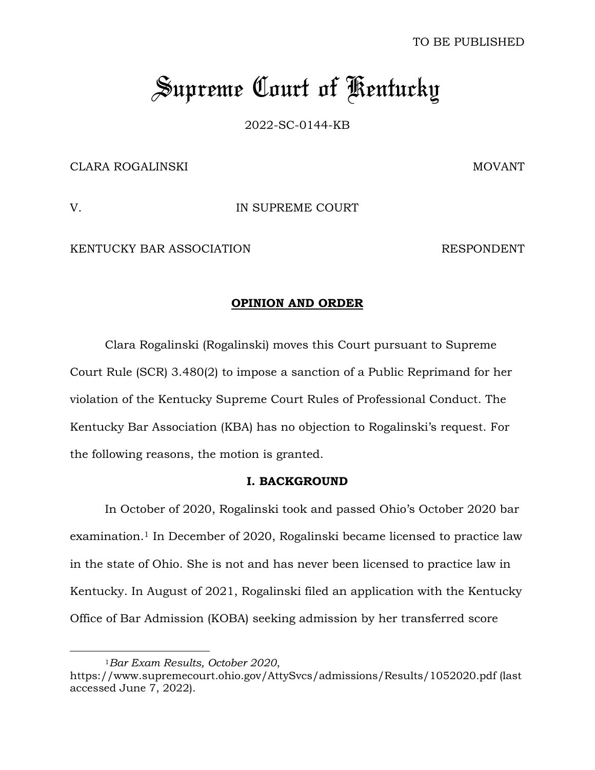TO BE PUBLISHED

## *Supreme Court of Kentucky*

2022-SC-0144-KB

CLARA ROGALINSKI NA STARA ROGALINSKI MOVANT

V. IN SUPREME COURT

KENTUCKY BAR ASSOCIATION RESPONDENT

## **OPINION AND ORDER**

Clara Rogalinski (Rogalinski) moves this Court pursuant to Supreme Court Rule (SCR) 3.480(2) to impose a sanction of a Public Reprimand for her violation of the Kentucky Supreme Court Rules of Professional Conduct. The Kentucky Bar Association (KBA) has no objection to Rogalinski's request. For the following reasons, the motion is granted.

## **I. BACKGROUND**

In October of 2020, Rogalinski took and passed Ohio's October 2020 bar examination.<sup>1</sup> In December of 2020, Rogalinski became licensed to practice law in the state of Ohio. She is not and has never been licensed to practice law in Kentucky. In August of 2021, Rogalinski filed an application with the Kentucky Office of Bar Admission (KOBA) seeking admission by her transferred score

<sup>1</sup>*Bar Exam Results, October 2020*,

https://www.supremecourt.ohio.gov/AttySvcs/admissions/Results/1052020.pdf (last accessed June 7, 2022).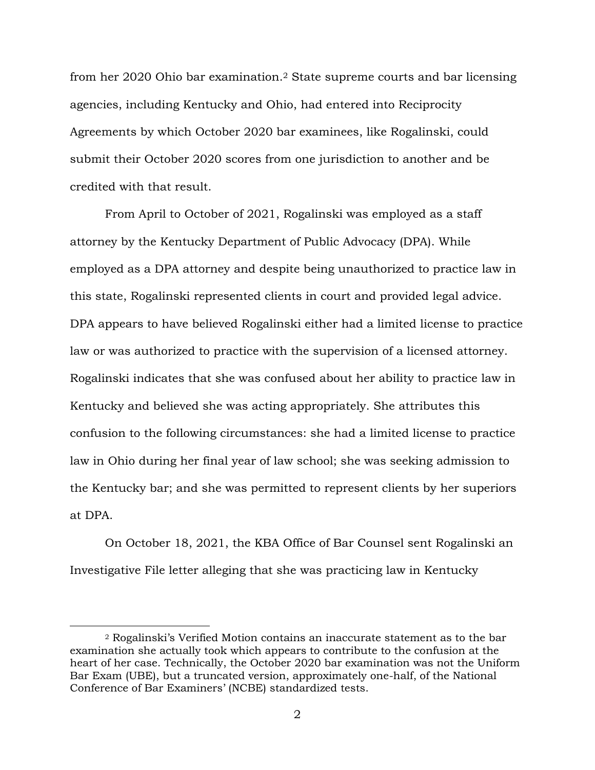from her 2020 Ohio bar examination.<sup>2</sup> State supreme courts and bar licensing agencies, including Kentucky and Ohio, had entered into Reciprocity Agreements by which October 2020 bar examinees, like Rogalinski, could submit their October 2020 scores from one jurisdiction to another and be credited with that result.

From April to October of 2021, Rogalinski was employed as a staff attorney by the Kentucky Department of Public Advocacy (DPA). While employed as a DPA attorney and despite being unauthorized to practice law in this state, Rogalinski represented clients in court and provided legal advice. DPA appears to have believed Rogalinski either had a limited license to practice law or was authorized to practice with the supervision of a licensed attorney. Rogalinski indicates that she was confused about her ability to practice law in Kentucky and believed she was acting appropriately. She attributes this confusion to the following circumstances: she had a limited license to practice law in Ohio during her final year of law school; she was seeking admission to the Kentucky bar; and she was permitted to represent clients by her superiors at DPA.

On October 18, 2021, the KBA Office of Bar Counsel sent Rogalinski an Investigative File letter alleging that she was practicing law in Kentucky

<sup>2</sup> Rogalinski's Verified Motion contains an inaccurate statement as to the bar examination she actually took which appears to contribute to the confusion at the heart of her case. Technically, the October 2020 bar examination was not the Uniform Bar Exam (UBE), but a truncated version, approximately one-half, of the National Conference of Bar Examiners' (NCBE) standardized tests.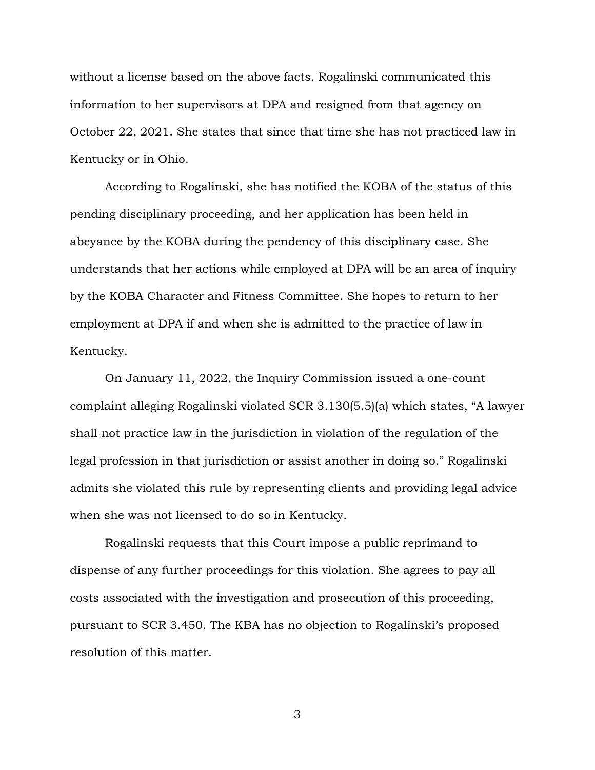without a license based on the above facts. Rogalinski communicated this information to her supervisors at DPA and resigned from that agency on October 22, 2021. She states that since that time she has not practiced law in Kentucky or in Ohio.

According to Rogalinski, she has notified the KOBA of the status of this pending disciplinary proceeding, and her application has been held in abeyance by the KOBA during the pendency of this disciplinary case. She understands that her actions while employed at DPA will be an area of inquiry by the KOBA Character and Fitness Committee. She hopes to return to her employment at DPA if and when she is admitted to the practice of law in Kentucky.

On January 11, 2022, the Inquiry Commission issued a one-count complaint alleging Rogalinski violated SCR 3.130(5.5)(a) which states, "A lawyer shall not practice law in the jurisdiction in violation of the regulation of the legal profession in that jurisdiction or assist another in doing so." Rogalinski admits she violated this rule by representing clients and providing legal advice when she was not licensed to do so in Kentucky.

Rogalinski requests that this Court impose a public reprimand to dispense of any further proceedings for this violation. She agrees to pay all costs associated with the investigation and prosecution of this proceeding, pursuant to SCR 3.450. The KBA has no objection to Rogalinski's proposed resolution of this matter.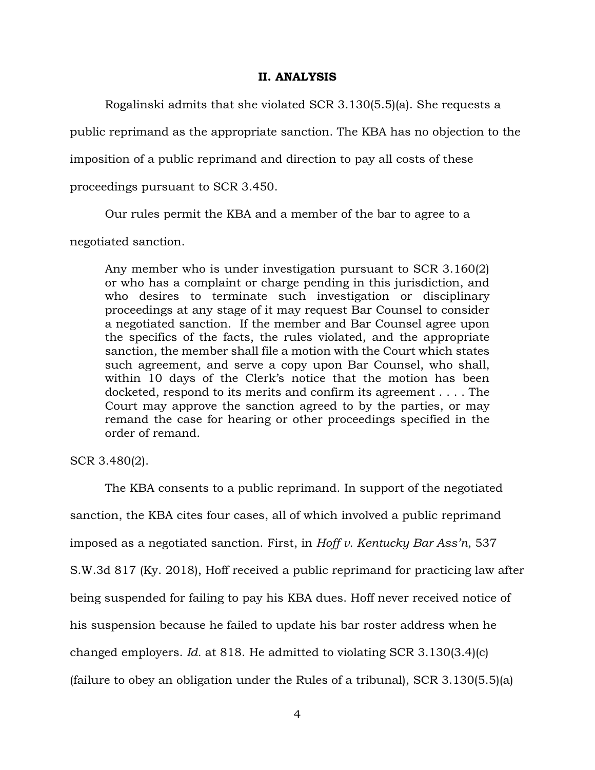## **II. ANALYSIS**

Rogalinski admits that she violated SCR 3.130(5.5)(a). She requests a

public reprimand as the appropriate sanction. The KBA has no objection to the

imposition of a public reprimand and direction to pay all costs of these

proceedings pursuant to SCR 3.450.

Our rules permit the KBA and a member of the bar to agree to a

negotiated sanction.

Any member who is under investigation pursuant to SCR 3.160(2) or who has a complaint or charge pending in this jurisdiction, and who desires to terminate such investigation or disciplinary proceedings at any stage of it may request Bar Counsel to consider a negotiated sanction. If the member and Bar Counsel agree upon the specifics of the facts, the rules violated, and the appropriate sanction, the member shall file a motion with the Court which states such agreement, and serve a copy upon Bar Counsel, who shall, within 10 days of the Clerk's notice that the motion has been docketed, respond to its merits and confirm its agreement . . . . The Court may approve the sanction agreed to by the parties, or may remand the case for hearing or other proceedings specified in the order of remand.

SCR 3.480(2).

The KBA consents to a public reprimand. In support of the negotiated sanction, the KBA cites four cases, all of which involved a public reprimand imposed as a negotiated sanction. First, in *Hoff v. Kentucky Bar Ass'n*, 537 S.W.3d 817 (Ky. 2018), Hoff received a public reprimand for practicing law after being suspended for failing to pay his KBA dues. Hoff never received notice of his suspension because he failed to update his bar roster address when he changed employers. *Id.* at 818. He admitted to violating SCR 3.130(3.4)(c) (failure to obey an obligation under the Rules of a tribunal), SCR 3.130(5.5)(a)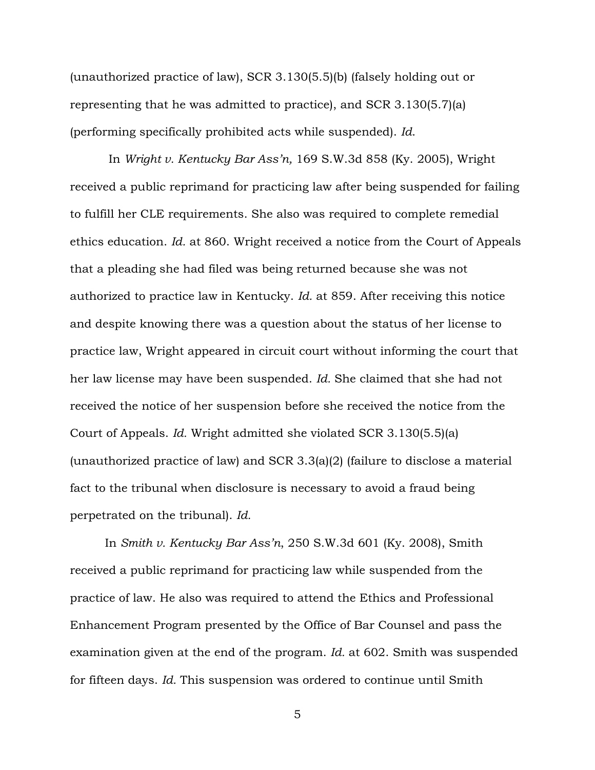(unauthorized practice of law), SCR 3.130(5.5)(b) (falsely holding out or representing that he was admitted to practice), and SCR 3.130(5.7)(a) (performing specifically prohibited acts while suspended). *Id*.

In *Wright v. Kentucky Bar Ass'n,* 169 S.W.3d 858 (Ky. 2005), Wright received a public reprimand for practicing law after being suspended for failing to fulfill her CLE requirements. She also was required to complete remedial ethics education. *Id.* at 860. Wright received a notice from the Court of Appeals that a pleading she had filed was being returned because she was not authorized to practice law in Kentucky. *Id.* at 859. After receiving this notice and despite knowing there was a question about the status of her license to practice law, Wright appeared in circuit court without informing the court that her law license may have been suspended. *Id.* She claimed that she had not received the notice of her suspension before she received the notice from the Court of Appeals. *Id.* Wright admitted she violated SCR 3.130(5.5)(a) (unauthorized practice of law) and SCR 3.3(a)(2) (failure to disclose a material fact to the tribunal when disclosure is necessary to avoid a fraud being perpetrated on the tribunal). *Id.*

In *Smith v. Kentucky Bar Ass'n*, 250 S.W.3d 601 (Ky. 2008), Smith received a public reprimand for practicing law while suspended from the practice of law. He also was required to attend the Ethics and Professional Enhancement Program presented by the Office of Bar Counsel and pass the examination given at the end of the program. *Id.* at 602. Smith was suspended for fifteen days. *Id.* This suspension was ordered to continue until Smith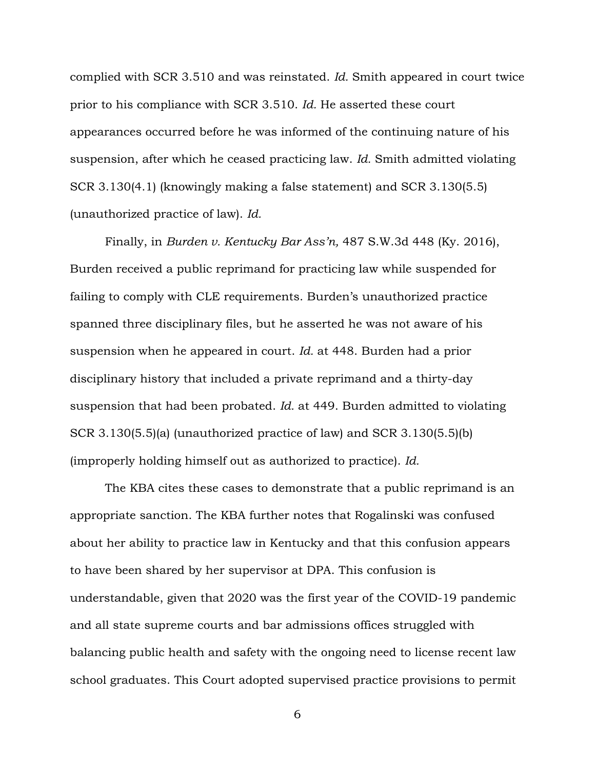complied with SCR 3.510 and was reinstated. *Id.* Smith appeared in court twice prior to his compliance with SCR 3.510. *Id.* He asserted these court appearances occurred before he was informed of the continuing nature of his suspension, after which he ceased practicing law. *Id.* Smith admitted violating SCR 3.130(4.1) (knowingly making a false statement) and SCR 3.130(5.5) (unauthorized practice of law). *Id.*

Finally, in *Burden v. Kentucky Bar Ass'n,* 487 S.W.3d 448 (Ky. 2016), Burden received a public reprimand for practicing law while suspended for failing to comply with CLE requirements. Burden's unauthorized practice spanned three disciplinary files, but he asserted he was not aware of his suspension when he appeared in court. *Id.* at 448. Burden had a prior disciplinary history that included a private reprimand and a thirty-day suspension that had been probated. *Id.* at 449. Burden admitted to violating SCR 3.130(5.5)(a) (unauthorized practice of law) and SCR 3.130(5.5)(b) (improperly holding himself out as authorized to practice). *Id.*

The KBA cites these cases to demonstrate that a public reprimand is an appropriate sanction. The KBA further notes that Rogalinski was confused about her ability to practice law in Kentucky and that this confusion appears to have been shared by her supervisor at DPA. This confusion is understandable, given that 2020 was the first year of the COVID-19 pandemic and all state supreme courts and bar admissions offices struggled with balancing public health and safety with the ongoing need to license recent law school graduates. This Court adopted supervised practice provisions to permit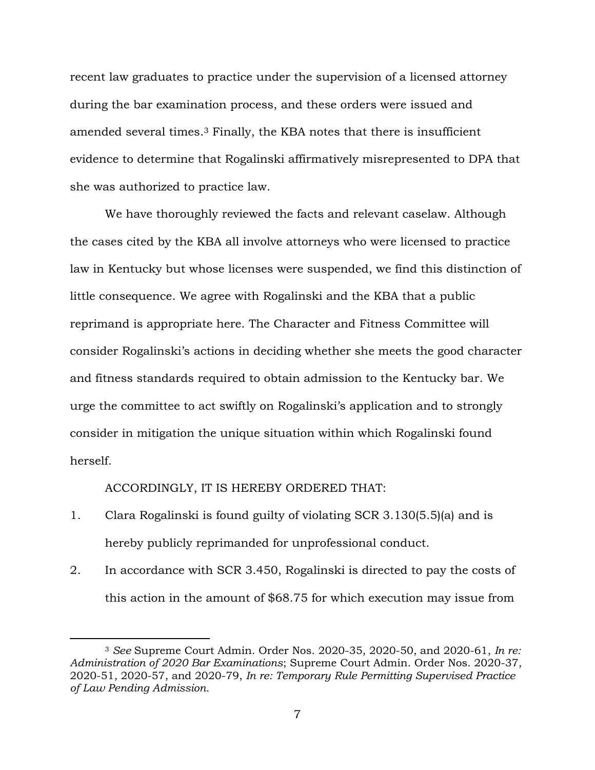recent law graduates to practice under the supervision of a licensed attorney during the bar examination process, and these orders were issued and amended several times.<sup>3</sup> Finally, the KBA notes that there is insufficient evidence to determine that Rogalinski affirmatively misrepresented to DPA that she was authorized to practice law.

We have thoroughly reviewed the facts and relevant caselaw. Although the cases cited by the KBA all involve attorneys who were licensed to practice law in Kentucky but whose licenses were suspended, we find this distinction of little consequence. We agree with Rogalinski and the KBA that a public reprimand is appropriate here. The Character and Fitness Committee will consider Rogalinski's actions in deciding whether she meets the good character and fitness standards required to obtain admission to the Kentucky bar. We urge the committee to act swiftly on Rogalinski's application and to strongly consider in mitigation the unique situation within which Rogalinski found herself.

ACCORDINGLY, IT IS HEREBY ORDERED THAT:

- 1. Clara Rogalinski is found guilty of violating SCR 3.130(5.5)(a) and is hereby publicly reprimanded for unprofessional conduct.
- 2. In accordance with SCR 3.450, Rogalinski is directed to pay the costs of this action in the amount of \$68.75 for which execution may issue from

<sup>3</sup> *See* Supreme Court Admin. Order Nos. 2020-35, 2020-50, and 2020-61, *In re: Administration of 2020 Bar Examinations*; Supreme Court Admin. Order Nos. 2020-37, 2020-51, 2020-57, and 2020-79, *In re: Temporary Rule Permitting Supervised Practice of Law Pending Admission*.